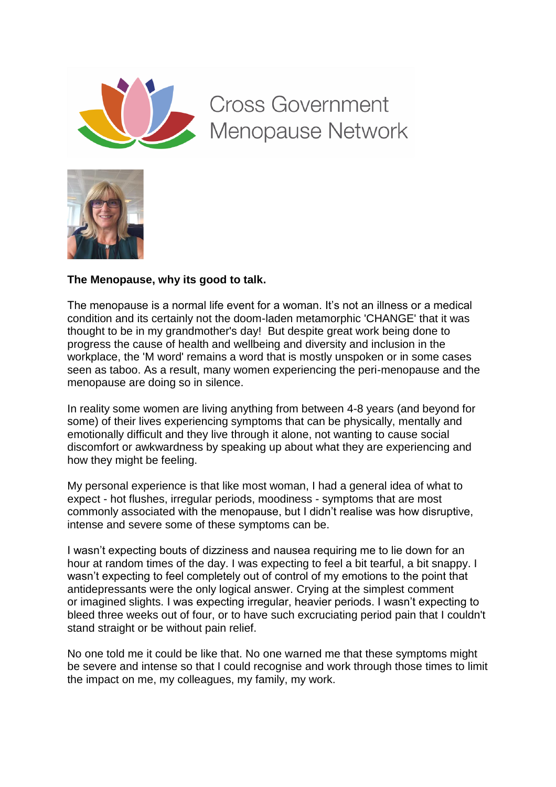

## **Cross Government** Menopause Network



## **The Menopause, why its good to talk.**

The menopause is a normal life event for a woman. It's not an illness or a medical condition and its certainly not the doom-laden metamorphic 'CHANGE' that it was thought to be in my grandmother's day! But despite great work being done to progress the cause of health and wellbeing and diversity and inclusion in the workplace, the 'M word' remains a word that is mostly unspoken or in some cases seen as taboo. As a result, many women experiencing the peri-menopause and the menopause are doing so in silence.

In reality some women are living anything from between 4-8 years (and beyond for some) of their lives experiencing symptoms that can be physically, mentally and emotionally difficult and they live through it alone, not wanting to cause social discomfort or awkwardness by speaking up about what they are experiencing and how they might be feeling.

My personal experience is that like most woman, I had a general idea of what to expect - hot flushes, irregular periods, moodiness - symptoms that are most commonly associated with the menopause, but I didn't realise was how disruptive, intense and severe some of these symptoms can be.

I wasn't expecting bouts of dizziness and nausea requiring me to lie down for an hour at random times of the day. I was expecting to feel a bit tearful, a bit snappy. I wasn't expecting to feel completely out of control of my emotions to the point that antidepressants were the only logical answer. Crying at the simplest comment or imagined slights. I was expecting irregular, heavier periods. I wasn't expecting to bleed three weeks out of four, or to have such excruciating period pain that I couldn't stand straight or be without pain relief.

No one told me it could be like that. No one warned me that these symptoms might be severe and intense so that I could recognise and work through those times to limit the impact on me, my colleagues, my family, my work.